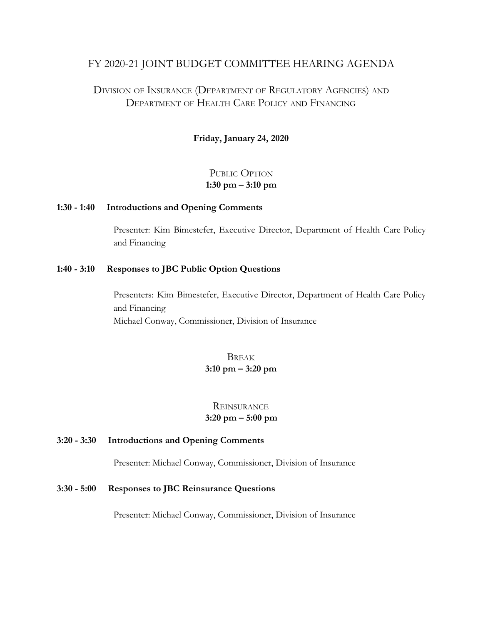#### FY 2020-21 JOINT BUDGET COMMITTEE HEARING AGENDA

## DIVISION OF INSURANCE (DEPARTMENT OF REGULATORY AGENCIES) AND DEPARTMENT OF HEALTH CARE POLICY AND FINANCING

#### **Friday, January 24, 2020**

#### PUBLIC OPTION **1:30 pm – 3:10 pm**

#### **1:30 - 1:40 Introductions and Opening Comments**

Presenter: Kim Bimestefer, Executive Director, Department of Health Care Policy and Financing

#### **1:40 - 3:10 Responses to JBC Public Option Questions**

Presenters: Kim Bimestefer, Executive Director, Department of Health Care Policy and Financing Michael Conway, Commissioner, Division of Insurance

#### BREAK **3:10 pm – 3:20 pm**

#### **REINSURANCE 3:20 pm – 5:00 pm**

#### **3:20 - 3:30 Introductions and Opening Comments**

Presenter: Michael Conway, Commissioner, Division of Insurance

#### **3:30 - 5:00 Responses to JBC Reinsurance Questions**

Presenter: Michael Conway, Commissioner, Division of Insurance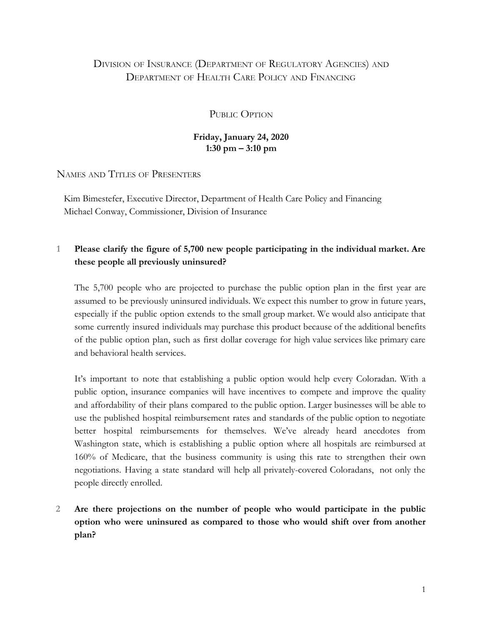# DIVISION OF INSURANCE (DEPARTMENT OF REGULATORY AGENCIES) AND DEPARTMENT OF HEALTH CARE POLICY AND FINANCING

PUBLIC OPTION

#### **Friday, January 24, 2020 1:30 pm – 3:10 pm**

NAMES AND TITLES OF PRESENTERS

Kim Bimestefer, Executive Director, Department of Health Care Policy and Financing Michael Conway, Commissioner, Division of Insurance

## **1 Please clarify the figure of 5,700 new people participating in the individual market. Are these people all previously uninsured?**

The 5,700 people who are projected to purchase the public option plan in the first year are assumed to be previously uninsured individuals. We expect this number to grow in future years, especially if the public option extends to the small group market. We would also anticipate that some currently insured individuals may purchase this product because of the additional benefits of the public option plan, such as first dollar coverage for high value services like primary care and behavioral health services.

It's important to note that establishing a public option would help every Coloradan. With a public option, insurance companies will have incentives to compete and improve the quality and affordability of their plans compared to the public option. Larger businesses will be able to use the published hospital reimbursement rates and standards of the public option to negotiate better hospital reimbursements for themselves. We've already heard anecdotes from Washington state, which is establishing a public option where all hospitals are reimbursed at 160% of Medicare, that the business community is using this rate to strengthen their own negotiations. Having a state standard will help all privately-covered Coloradans, not only the people directly enrolled.

**2 Are there projections on the number of people who would participate in the public option who were uninsured as compared to those who would shift over from another plan?**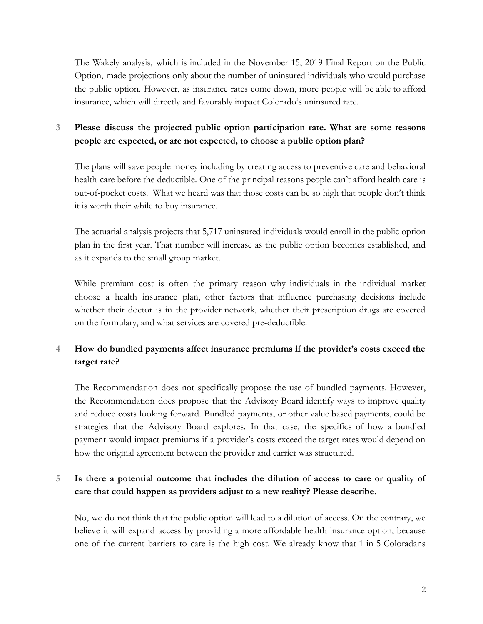The Wakely analysis, which is included in the November 15, 2019 Final Report on the Public Option, made projections only about the number of uninsured individuals who would purchase the public option. However, as insurance rates come down, more people will be able to afford insurance, which will directly and favorably impact Colorado's uninsured rate.

# **3 Please discuss the projected public option participation rate. What are some reasons people are expected, or are not expected, to choose a public option plan?**

The plans will save people money including by creating access to preventive care and behavioral health care before the deductible. One of the principal reasons people can't afford health care is out-of-pocket costs. What we heard was that those costs can be so high that people don't think it is worth their while to buy insurance.

The actuarial analysis projects that 5,717 uninsured individuals would enroll in the public option plan in the first year. That number will increase as the public option becomes established, and as it expands to the small group market.

While premium cost is often the primary reason why individuals in the individual market choose a health insurance plan, other factors that influence purchasing decisions include whether their doctor is in the provider network, whether their prescription drugs are covered on the formulary, and what services are covered pre-deductible.

# **4 How do bundled payments affect insurance premiums if the provider's costs exceed the target rate?**

The Recommendation does not specifically propose the use of bundled payments. However, the Recommendation does propose that the Advisory Board identify ways to improve quality and reduce costs looking forward. Bundled payments, or other value based payments, could be strategies that the Advisory Board explores. In that case, the specifics of how a bundled payment would impact premiums if a provider's costs exceed the target rates would depend on how the original agreement between the provider and carrier was structured.

# **5 Is there a potential outcome that includes the dilution of access to care or quality of care that could happen as providers adjust to a new reality? Please describe.**

No, we do not think that the public option will lead to a dilution of access. On the contrary, we believe it will expand access by providing a more affordable health insurance option, because one of the current barriers to care is the high cost. We already know that 1 in 5 Coloradans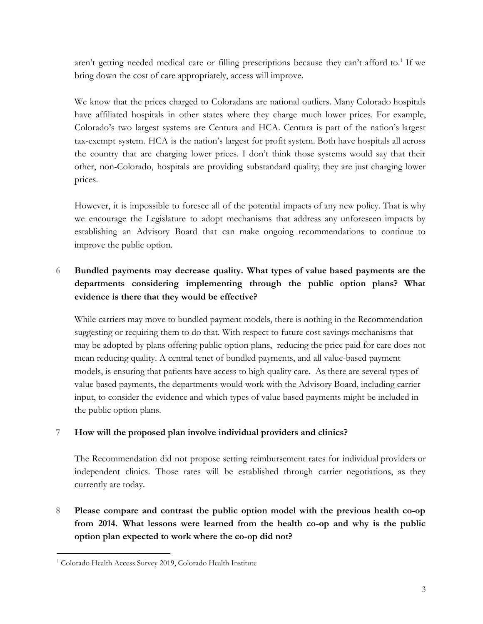aren't getting needed medical care or filling prescriptions because they can't afford to.<sup>1</sup> If we bring down the cost of care appropriately, access will improve.

We know that the prices charged to Coloradans are national outliers. Many Colorado hospitals have affiliated hospitals in other states where they charge much lower prices. For example, Colorado's two largest systems are Centura and HCA. Centura is part of the nation's largest tax-exempt system. HCA is the nation's largest for profit system. Both have hospitals all across the country that are charging lower prices. I don't think those systems would say that their other, non-Colorado, hospitals are providing substandard quality; they are just charging lower prices.

However, it is impossible to foresee all of the potential impacts of any new policy. That is why we encourage the Legislature to adopt mechanisms that address any unforeseen impacts by establishing an Advisory Board that can make ongoing recommendations to continue to improve the public option.

# **6 Bundled payments may decrease quality. What types of value based payments are the departments considering implementing through the public option plans? What evidence is there that they would be effective?**

While carriers may move to bundled payment models, there is nothing in the Recommendation suggesting or requiring them to do that. With respect to future cost savings mechanisms that may be adopted by plans offering public option plans, reducing the price paid for care does not mean reducing quality. A central tenet of bundled payments, and all value-based payment models, is ensuring that patients have access to high quality care. As there are several types of value based payments, the departments would work with the Advisory Board, including carrier input, to consider the evidence and which types of value based payments might be included in the public option plans.

#### **7 How will the proposed plan involve individual providers and clinics?**

The Recommendation did not propose setting reimbursement rates for individual providers or independent clinics. Those rates will be established through carrier negotiations, as they currently are today.

**8 Please compare and contrast the public option model with the previous health co-op from 2014. What lessons were learned from the health co-op and why is the public option plan expected to work where the co-op did not?**

<sup>1</sup> Colorado Health Access Survey 2019, Colorado Health Institute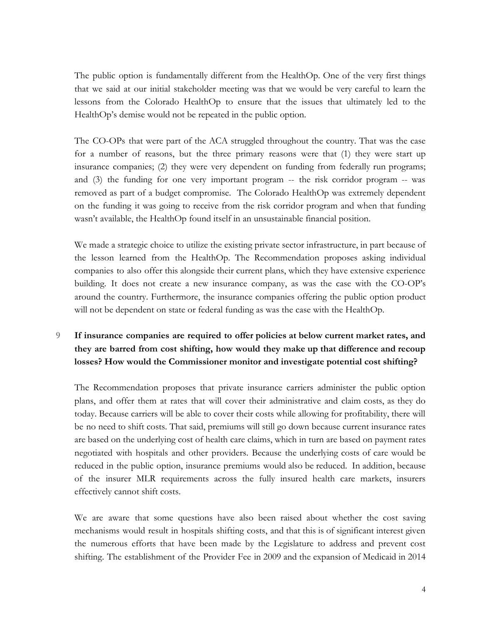The public option is fundamentally different from the HealthOp. One of the very first things that we said at our initial stakeholder meeting was that we would be very careful to learn the lessons from the Colorado HealthOp to ensure that the issues that ultimately led to the HealthOp's demise would not be repeated in the public option.

The CO-OPs that were part of the ACA struggled throughout the country. That was the case for a number of reasons, but the three primary reasons were that (1) they were start up insurance companies; (2) they were very dependent on funding from federally run programs; and (3) the funding for one very important program -- the risk corridor program -- was removed as part of a budget compromise. The Colorado HealthOp was extremely dependent on the funding it was going to receive from the risk corridor program and when that funding wasn't available, the HealthOp found itself in an unsustainable financial position.

We made a strategic choice to utilize the existing private sector infrastructure, in part because of the lesson learned from the HealthOp. The Recommendation proposes asking individual companies to also offer this alongside their current plans, which they have extensive experience building. It does not create a new insurance company, as was the case with the CO-OP's around the country. Furthermore, the insurance companies offering the public option product will not be dependent on state or federal funding as was the case with the HealthOp.

### **9 If insurance companies are required to offer policies at below current market rates, and they are barred from cost shifting, how would they make up that difference and recoup losses? How would the Commissioner monitor and investigate potential cost shifting?**

The Recommendation proposes that private insurance carriers administer the public option plans, and offer them at rates that will cover their administrative and claim costs, as they do today. Because carriers will be able to cover their costs while allowing for profitability, there will be no need to shift costs. That said, premiums will still go down because current insurance rates are based on the underlying cost of health care claims, which in turn are based on payment rates negotiated with hospitals and other providers. Because the underlying costs of care would be reduced in the public option, insurance premiums would also be reduced. In addition, because of the insurer MLR requirements across the fully insured health care markets, insurers effectively cannot shift costs.

We are aware that some questions have also been raised about whether the cost saving mechanisms would result in hospitals shifting costs, and that this is of significant interest given the numerous efforts that have been made by the Legislature to address and prevent cost shifting. The establishment of the Provider Fee in 2009 and the expansion of Medicaid in 2014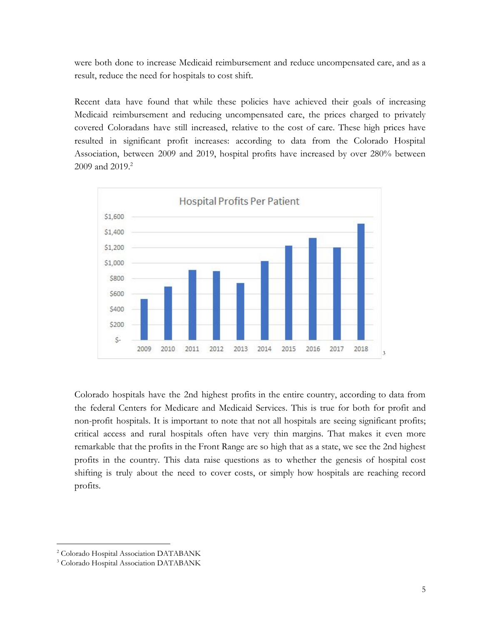were both done to increase Medicaid reimbursement and reduce uncompensated care, and as a result, reduce the need for hospitals to cost shift.

Recent data have found that while these policies have achieved their goals of increasing Medicaid reimbursement and reducing uncompensated care, the prices charged to privately covered Coloradans have still increased, relative to the cost of care. These high prices have resulted in significant profit increases: according to data from the Colorado Hospital Association, between 2009 and 2019, hospital profits have increased by over 280% between  $2009$  and  $2019.2$ 



Colorado hospitals have the 2nd highest profits in the entire country, according to data from the federal Centers for Medicare and Medicaid Services. This is true for both for profit and non-profit hospitals. It is important to note that not all hospitals are seeing significant profits; critical access and rural hospitals often have very thin margins. That makes it even more remarkable that the profits in the Front Range are so high that as a state, we see the 2nd highest profits in the country. This data raise questions as to whether the genesis of hospital cost shifting is truly about the need to cover costs, or simply how hospitals are reaching record profits.

<sup>2</sup> Colorado Hospital Association DATABANK

<sup>3</sup> Colorado Hospital Association DATABANK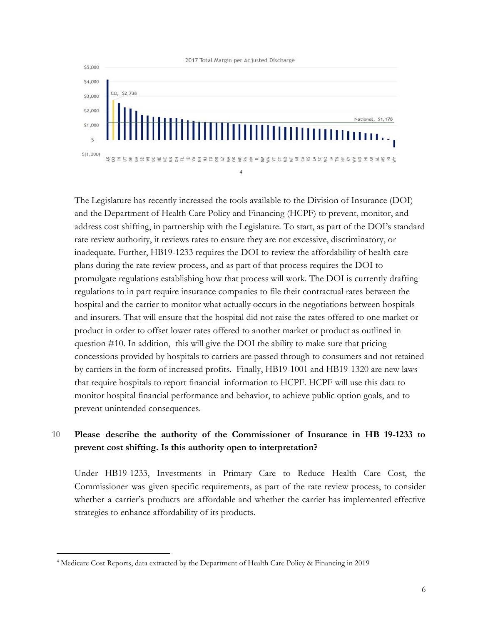

The Legislature has recently increased the tools available to the Division of Insurance (DOI) and the Department of Health Care Policy and Financing (HCPF) to prevent, monitor, and address cost shifting, in partnership with the Legislature. To start, as part of the DOI's standard rate review authority, it reviews rates to ensure they are not excessive, discriminatory, or inadequate. Further, HB19-1233 requires the DOI to review the affordability of health care plans during the rate review process, and as part of that process requires the DOI to promulgate regulations establishing how that process will work. The DOI is currently drafting regulations to in part require insurance companies to file their contractual rates between the hospital and the carrier to monitor what actually occurs in the negotiations between hospitals and insurers. That will ensure that the hospital did not raise the rates offered to one market or product in order to offset lower rates offered to another market or product as outlined in question #10. In addition, this will give the DOI the ability to make sure that pricing concessions provided by hospitals to carriers are passed through to consumers and not retained by carriers in the form of increased profits. Finally, HB19-1001 and HB19-1320 are new laws that require hospitals to report financial information to HCPF. HCPF will use this data to monitor hospital financial performance and behavior, to achieve public option goals, and to prevent unintended consequences.

### **10 Please describe the authority of the Commissioner of Insurance in HB 19-1233 to prevent cost shifting. Is this authority open to interpretation?**

Under HB19-1233, Investments in Primary Care to Reduce Health Care Cost, the Commissioner was given specific requirements, as part of the rate review process, to consider whether a carrier's products are affordable and whether the carrier has implemented effective strategies to enhance affordability of its products.

<sup>4</sup> Medicare Cost Reports, data extracted by the Department of Health Care Policy & Financing in 2019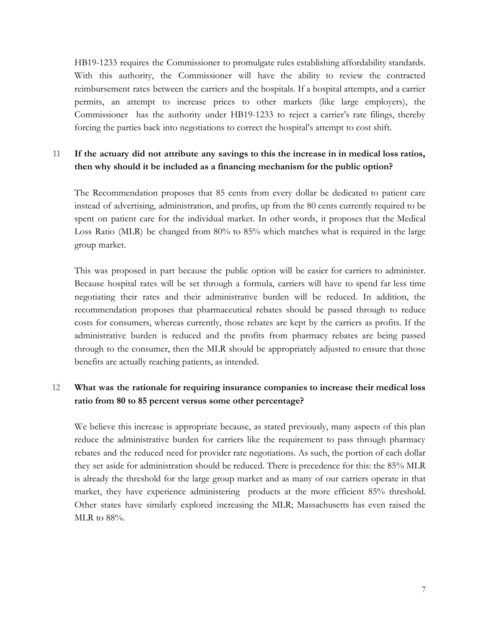HB19-1233 requires the Commissioner to promulgate rules establishing affordability standards. With this authority, the Commissioner will have the ability to review the contracted reimbursement rates between the carriers and the hospitals. If a hospital attempts, and a carrier permits, an attempt to increase prices to other markets (like large employers), the Commissioner has the authority under HB19-1233 to reject a carrier's rate filings, thereby forcing the parties back into negotiations to correct the hospital's attempt to cost shift.

#### **11 If the actuary did not attribute any savings to this the increase in in medical loss ratios, then why should it be included as a financing mechanism for the public option?**

The Recommendation proposes that 85 cents from every dollar be dedicated to patient care instead of advertising, administration, and profits, up from the 80 cents currently required to be spent on patient care for the individual market. In other words, it proposes that the Medical Loss Ratio (MLR) be changed from 80% to 85% which matches what is required in the large group market.

This was proposed in part because the public option will be easier for carriers to administer. Because hospital rates will be set through a formula, carriers will have to spend far less time negotiating their rates and their administrative burden will be reduced. In addition, the recommendation proposes that pharmaceutical rebates should be passed through to reduce costs for consumers, whereas currently, those rebates are kept by the carriers as profits. If the administrative burden is reduced and the profits from pharmacy rebates are being passed through to the consumer, then the MLR should be appropriately adjusted to ensure that those benefits are actually reaching patients, as intended.

### **12 What was the rationale for requiring insurance companies to increase their medical loss ratio from 80 to 85 percent versus some other percentage?**

We believe this increase is appropriate because, as stated previously, many aspects of this plan reduce the administrative burden for carriers like the requirement to pass through pharmacy rebates and the reduced need for provider rate negotiations. As such, the portion of each dollar they set aside for administration should be reduced. There is precedence for this: the 85% MLR is already the threshold for the large group market and as many of our carriers operate in that market, they have experience administering products at the more efficient 85% threshold. Other states have similarly explored increasing the MLR; Massachusetts has even raised the MLR to  $88\%$ .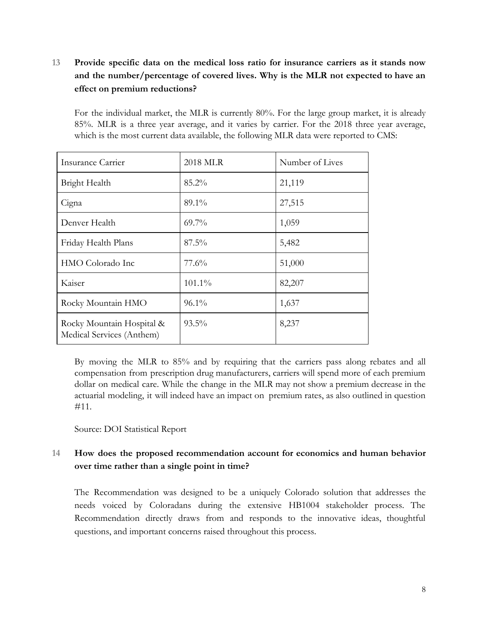# **13 Provide specific data on the medical loss ratio for insurance carriers as it stands now and the number/percentage of covered lives. Why is the MLR not expected to have an effect on premium reductions?**

For the individual market, the MLR is currently 80%. For the large group market, it is already 85%. MLR is a three year average, and it varies by carrier. For the 2018 three year average, which is the most current data available, the following MLR data were reported to CMS:

| Insurance Carrier                                      | 2018 MLR | Number of Lives |
|--------------------------------------------------------|----------|-----------------|
| Bright Health                                          | $85.2\%$ | 21,119          |
| Cigna                                                  | 89.1%    | 27,515          |
| Denver Health                                          | $69.7\%$ | 1,059           |
| Friday Health Plans                                    | $87.5\%$ | 5,482           |
| HMO Colorado Inc                                       | 77.6%    | 51,000          |
| Kaiser                                                 | 101.1%   | 82,207          |
| Rocky Mountain HMO                                     | $96.1\%$ | 1,637           |
| Rocky Mountain Hospital &<br>Medical Services (Anthem) | $93.5\%$ | 8,237           |

By moving the MLR to 85% and by requiring that the carriers pass along rebates and all compensation from prescription drug manufacturers, carriers will spend more of each premium dollar on medical care. While the change in the MLR may not show a premium decrease in the actuarial modeling, it will indeed have an impact on premium rates, as also outlined in question #11.

#### Source: DOI Statistical Report

### **14 How does the proposed recommendation account for economics and human behavior over time rather than a single point in time?**

The Recommendation was designed to be a uniquely Colorado solution that addresses the needs voiced by Coloradans during the extensive HB1004 stakeholder process. The Recommendation directly draws from and responds to the innovative ideas, thoughtful questions, and important concerns raised throughout this process.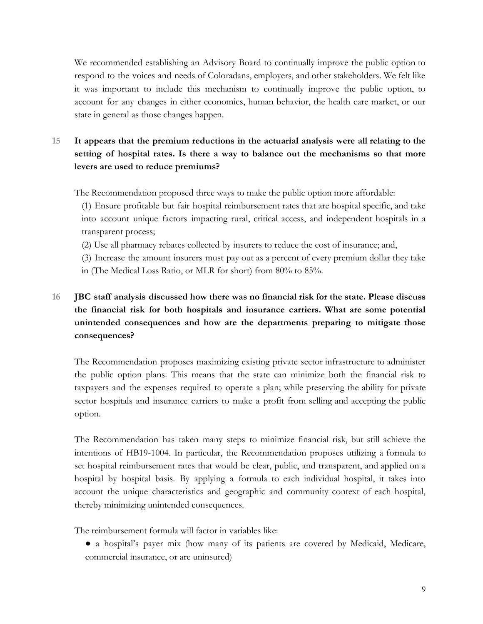We recommended establishing an Advisory Board to continually improve the public option to respond to the voices and needs of Coloradans, employers, and other stakeholders. We felt like it was important to include this mechanism to continually improve the public option, to account for any changes in either economics, human behavior, the health care market, or our state in general as those changes happen.

# **15 It appears that the premium reductions in the actuarial analysis were all relating to the setting of hospital rates. Is there a way to balance out the mechanisms so that more levers are used to reduce premiums?**

The Recommendation proposed three ways to make the public option more affordable:

(1) Ensure profitable but fair hospital reimbursement rates that are hospital specific, and take into account unique factors impacting rural, critical access, and independent hospitals in a transparent process;

(2) Use all pharmacy rebates collected by insurers to reduce the cost of insurance; and,

(3) Increase the amount insurers must pay out as a percent of every premium dollar they take in (The Medical Loss Ratio, or MLR for short) from 80% to 85%.

# **16 JBC staff analysis discussed how there was no financial risk for the state. Please discuss the financial risk for both hospitals and insurance carriers. What are some potential unintended consequences and how are the departments preparing to mitigate those consequences?**

The Recommendation proposes maximizing existing private sector infrastructure to administer the public option plans. This means that the state can minimize both the financial risk to taxpayers and the expenses required to operate a plan; while preserving the ability for private sector hospitals and insurance carriers to make a profit from selling and accepting the public option.

The Recommendation has taken many steps to minimize financial risk, but still achieve the intentions of HB19-1004. In particular, the Recommendation proposes utilizing a formula to set hospital reimbursement rates that would be clear, public, and transparent, and applied on a hospital by hospital basis. By applying a formula to each individual hospital, it takes into account the unique characteristics and geographic and community context of each hospital, thereby minimizing unintended consequences.

The reimbursement formula will factor in variables like:

● a hospital's payer mix (how many of its patients are covered by Medicaid, Medicare, commercial insurance, or are uninsured)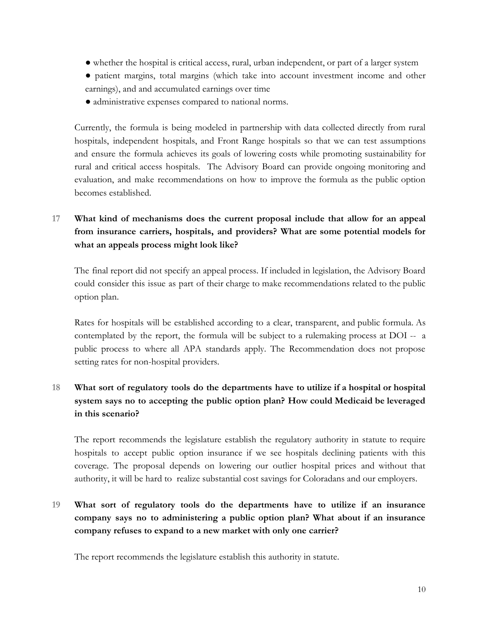- whether the hospital is critical access, rural, urban independent, or part of a larger system
- patient margins, total margins (which take into account investment income and other earnings), and and accumulated earnings over time
- administrative expenses compared to national norms.

Currently, the formula is being modeled in partnership with data collected directly from rural hospitals, independent hospitals, and Front Range hospitals so that we can test assumptions and ensure the formula achieves its goals of lowering costs while promoting sustainability for rural and critical access hospitals. The Advisory Board can provide ongoing monitoring and evaluation, and make recommendations on how to improve the formula as the public option becomes established.

# **17 What kind of mechanisms does the current proposal include that allow for an appeal from insurance carriers, hospitals, and providers? What are some potential models for what an appeals process might look like?**

The final report did not specify an appeal process. If included in legislation, the Advisory Board could consider this issue as part of their charge to make recommendations related to the public option plan.

Rates for hospitals will be established according to a clear, transparent, and public formula. As contemplated by the report, the formula will be subject to a rulemaking process at DOI -- a public process to where all APA standards apply. The Recommendation does not propose setting rates for non-hospital providers.

# **18 What sort of regulatory tools do the departments have to utilize if a hospital or hospital system says no to accepting the public option plan? How could Medicaid be leveraged in this scenario?**

The report recommends the legislature establish the regulatory authority in statute to require hospitals to accept public option insurance if we see hospitals declining patients with this coverage. The proposal depends on lowering our outlier hospital prices and without that authority, it will be hard to realize substantial cost savings for Coloradans and our employers.

**19 What sort of regulatory tools do the departments have to utilize if an insurance company says no to administering a public option plan? What about if an insurance company refuses to expand to a new market with only one carrier?**

The report recommends the legislature establish this authority in statute.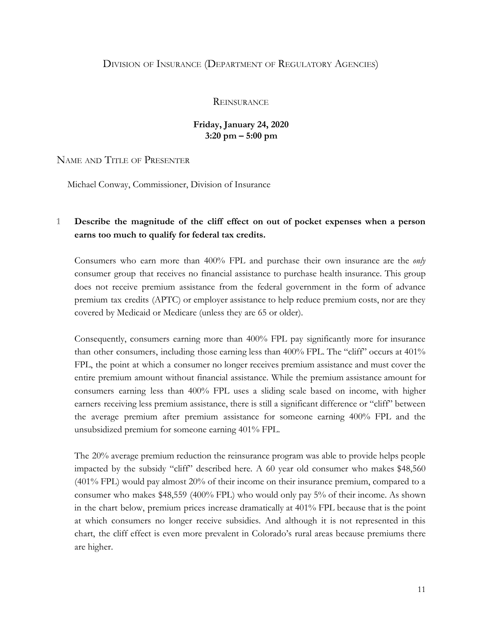#### DIVISION OF INSURANCE (DEPARTMENT OF REGULATORY AGENCIES)

#### **REINSURANCE**

#### **Friday, January 24, 2020 3:20 pm – 5:00 pm**

#### NAME AND TITLE OF PRESENTER

Michael Conway, Commissioner, Division of Insurance

#### **1 Describe the magnitude of the cliff effect on out of pocket expenses when a person earns too much to qualify for federal tax credits.**

Consumers who earn more than 400% FPL and purchase their own insurance are the *only* consumer group that receives no financial assistance to purchase health insurance. This group does not receive premium assistance from the federal government in the form of advance premium tax credits (APTC) or employer assistance to help reduce premium costs, nor are they covered by Medicaid or Medicare (unless they are 65 or older).

Consequently, consumers earning more than 400% FPL pay significantly more for insurance than other consumers, including those earning less than 400% FPL. The "cliff" occurs at 401% FPL, the point at which a consumer no longer receives premium assistance and must cover the entire premium amount without financial assistance. While the premium assistance amount for consumers earning less than 400% FPL uses a sliding scale based on income, with higher earners receiving less premium assistance, there is still a significant difference or "cliff" between the average premium after premium assistance for someone earning 400% FPL and the unsubsidized premium for someone earning 401% FPL.

The 20% average premium reduction the reinsurance program was able to provide helps people impacted by the subsidy "cliff" described here. A 60 year old consumer who makes \$48,560 (401% FPL) would pay almost 20% of their income on their insurance premium, compared to a consumer who makes \$48,559 (400% FPL) who would only pay 5% of their income. As shown in the chart below, premium prices increase dramatically at 401% FPL because that is the point at which consumers no longer receive subsidies. And although it is not represented in this chart, the cliff effect is even more prevalent in Colorado's rural areas because premiums there are higher.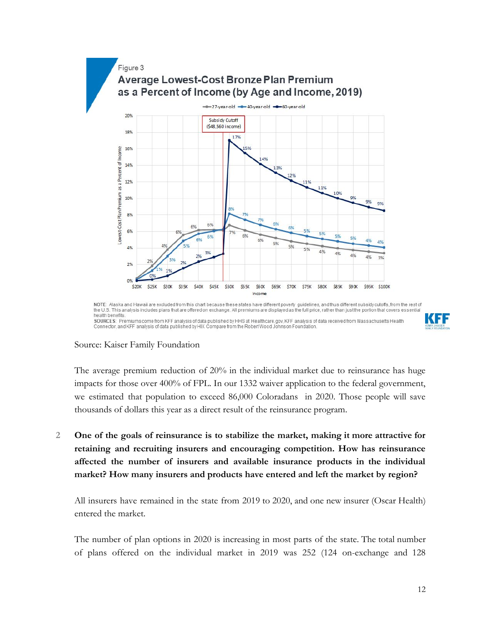

SOURCES: Premiums come from KFF analysis of data published by HHS at Healthcare.gov, KFF analysis of data received from Massachusetts Health Connector, and KFF analysis of data published by HIX Compare from the Robert Wood Johnson Foundation



#### Source: Kaiser Family Foundation

The average premium reduction of 20% in the individual market due to reinsurance has huge impacts for those over 400% of FPL. In our 1332 waiver application to the federal government, we estimated that population to exceed 86,000 Coloradans in 2020. Those people will save thousands of dollars this year as a direct result of the reinsurance program.

**2 One of the goals of reinsurance is to stabilize the market, making it more attractive for retaining and recruiting insurers and encouraging competition. How has reinsurance affected the number of insurers and available insurance products in the individual market? How many insurers and products have entered and left the market by region?**

All insurers have remained in the state from 2019 to 2020, and one new insurer (Oscar Health) entered the market.

The number of plan options in 2020 is increasing in most parts of the state. The total number of plans offered on the individual market in 2019 was 252 (124 on-exchange and 128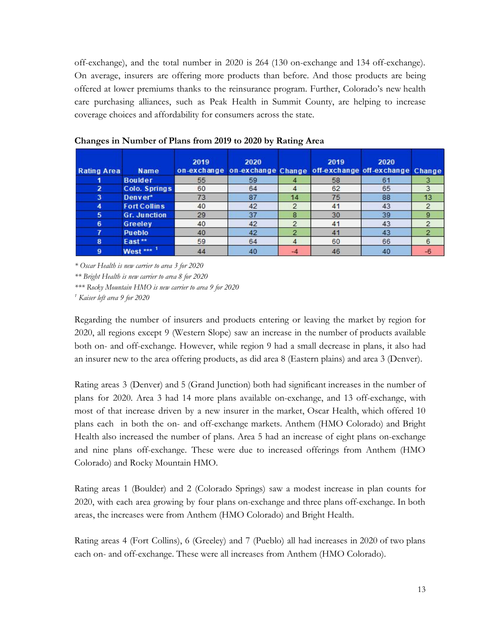off-exchange), and the total number in 2020 is 264 (130 on-exchange and 134 off-exchange). On average, insurers are offering more products than before. And those products are being offered at lower premiums thanks to the reinsurance program. Further, Colorado's new health care purchasing alliances, such as Peak Health in Summit County, are helping to increase coverage choices and affordability for consumers across the state.

| <b>Rating Area</b> | <b>Name</b>         | 2019 | 2020<br>on-exchange on-exchange Change off-exchange off-exchange Change |    | 2019           | 2020 |    |
|--------------------|---------------------|------|-------------------------------------------------------------------------|----|----------------|------|----|
|                    | <b>Boulder</b>      | 55   | 59                                                                      |    | 58             | 61   |    |
|                    | Colo. Springs       | 60   | 64                                                                      |    | 62             | 65   |    |
| 3                  | Denver*             | 73   | 87                                                                      | 14 | 75             | 88   | 13 |
| 4                  | <b>Fort Collins</b> | 40   | 42                                                                      | 2  | 4 <sup>1</sup> | 43   |    |
| 5                  | <b>Gr. Junction</b> | 29   | 37                                                                      | 8  | 30             | 39   | 9  |
| 6                  | Greeley             | 40   | 42                                                                      | c  | 4 <sup>1</sup> | 43   |    |
|                    | <b>Pueblo</b>       | 40   | 42                                                                      | o  | 4 <sup>1</sup> | 43   |    |
| 8                  | East**              | 59   | 64                                                                      |    | 60             | 66   | 6  |
| 9                  | West ***            | 44   | 40                                                                      |    | 46             | 40   |    |

**Changes in Number of Plans from 2019 to 2020 by Rating Area**

*\* Oscar Health is new carrier to area 3 for 2020*

*\*\* Bright Health is new carrier to area 8 for 2020*

*\*\*\* Rocky Mountain HMO is new carrier to area 9 for 2020*

*<sup>1</sup> Kaiser left area 9 for 2020*

Regarding the number of insurers and products entering or leaving the market by region for 2020, all regions except 9 (Western Slope) saw an increase in the number of products available both on- and off-exchange. However, while region 9 had a small decrease in plans, it also had an insurer new to the area offering products, as did area 8 (Eastern plains) and area 3 (Denver).

Rating areas 3 (Denver) and 5 (Grand Junction) both had significant increases in the number of plans for 2020. Area 3 had 14 more plans available on-exchange, and 13 off-exchange, with most of that increase driven by a new insurer in the market, Oscar Health, which offered 10 plans each in both the on- and off-exchange markets. Anthem (HMO Colorado) and Bright Health also increased the number of plans. Area 5 had an increase of eight plans on-exchange and nine plans off-exchange. These were due to increased offerings from Anthem (HMO Colorado) and Rocky Mountain HMO.

Rating areas 1 (Boulder) and 2 (Colorado Springs) saw a modest increase in plan counts for 2020, with each area growing by four plans on-exchange and three plans off-exchange. In both areas, the increases were from Anthem (HMO Colorado) and Bright Health.

Rating areas 4 (Fort Collins), 6 (Greeley) and 7 (Pueblo) all had increases in 2020 of two plans each on- and off-exchange. These were all increases from Anthem (HMO Colorado).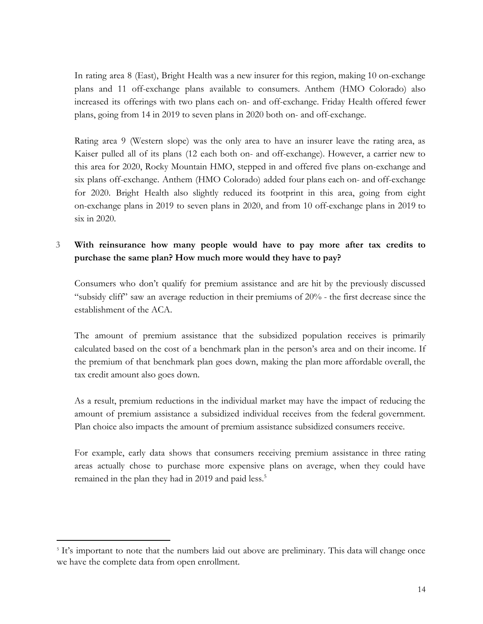In rating area 8 (East), Bright Health was a new insurer for this region, making 10 on-exchange plans and 11 off-exchange plans available to consumers. Anthem (HMO Colorado) also increased its offerings with two plans each on- and off-exchange. Friday Health offered fewer plans, going from 14 in 2019 to seven plans in 2020 both on- and off-exchange.

Rating area 9 (Western slope) was the only area to have an insurer leave the rating area, as Kaiser pulled all of its plans (12 each both on- and off-exchange). However, a carrier new to this area for 2020, Rocky Mountain HMO, stepped in and offered five plans on-exchange and six plans off-exchange. Anthem (HMO Colorado) added four plans each on- and off-exchange for 2020. Bright Health also slightly reduced its footprint in this area, going from eight on-exchange plans in 2019 to seven plans in 2020, and from 10 off-exchange plans in 2019 to six in 2020.

### **3 With reinsurance how many people would have to pay more after tax credits to purchase the same plan? How much more would they have to pay?**

Consumers who don't qualify for premium assistance and are hit by the previously discussed "subsidy cliff" saw an average reduction in their premiums of 20% - the first decrease since the establishment of the ACA.

The amount of premium assistance that the subsidized population receives is primarily calculated based on the cost of a benchmark plan in the person's area and on their income. If the premium of that benchmark plan goes down, making the plan more affordable overall, the tax credit amount also goes down.

As a result, premium reductions in the individual market may have the impact of reducing the amount of premium assistance a subsidized individual receives from the federal government. Plan choice also impacts the amount of premium assistance subsidized consumers receive.

For example, early data shows that consumers receiving premium assistance in three rating areas actually chose to purchase more expensive plans on average, when they could have remained in the plan they had in 2019 and paid less.<sup>5</sup>

<sup>5</sup> It's important to note that the numbers laid out above are preliminary. This data will change once we have the complete data from open enrollment.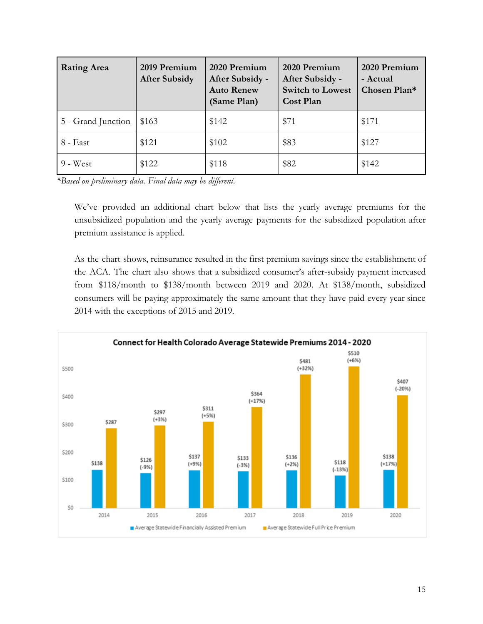| <b>Rating Area</b> | 2019 Premium<br><b>After Subsidy</b> | 2020 Premium<br>After Subsidy -<br><b>Auto Renew</b><br>(Same Plan) | 2020 Premium<br>After Subsidy -<br><b>Switch to Lowest</b><br>Cost Plan | 2020 Premium<br>- Actual<br>Chosen Plan* |
|--------------------|--------------------------------------|---------------------------------------------------------------------|-------------------------------------------------------------------------|------------------------------------------|
| 5 - Grand Junction | \$163                                | \$142                                                               | \$71                                                                    | \$171                                    |
| 8 - East           | \$121                                | \$102                                                               | \$83                                                                    | \$127                                    |
| $9 - West$         | \$122                                | \$118                                                               | \$82                                                                    | \$142                                    |

*\*Based on preliminary data. Final data may be different.*

We've provided an additional chart below that lists the yearly average premiums for the unsubsidized population and the yearly average payments for the subsidized population after premium assistance is applied.

As the chart shows, reinsurance resulted in the first premium savings since the establishment of the ACA. The chart also shows that a subsidized consumer's after-subsidy payment increased from \$118/month to \$138/month between 2019 and 2020. At \$138/month, subsidized consumers will be paying approximately the same amount that they have paid every year since 2014 with the exceptions of 2015 and 2019.

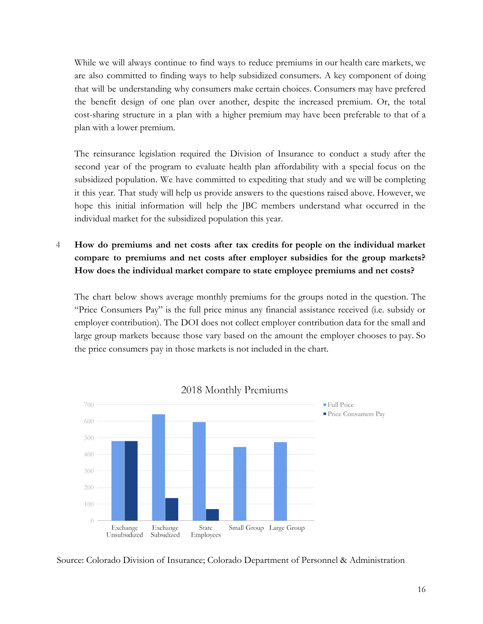While we will always continue to find ways to reduce premiums in our health care markets, we are also committed to finding ways to help subsidized consumers. A key component of doing that will be understanding why consumers make certain choices. Consumers may have prefered the benefit design of one plan over another, despite the increased premium. Or, the total cost-sharing structure in a plan with a higher premium may have been preferable to that of a plan with a lower premium.

The reinsurance legislation required the Division of Insurance to conduct a study after the second year of the program to evaluate health plan affordability with a special focus on the subsidized population. We have committed to expediting that study and we will be completing it this year. That study will help us provide answers to the questions raised above. However, we hope this initial information will help the JBC members understand what occurred in the individual market for the subsidized population this year.

# **4 How do premiums and net costs after tax credits for people on the individual market compare to premiums and net costs after employer subsidies for the group markets? How does the individual market compare to state employee premiums and net costs?**

The chart below shows average monthly premiums for the groups noted in the question. The "Price Consumers Pay" is the full price minus any financial assistance received (i.e. subsidy or employer contribution). The DOI does not collect employer contribution data for the small and large group markets because those vary based on the amount the employer chooses to pay. So the price consumers pay in those markets is not included in the chart.



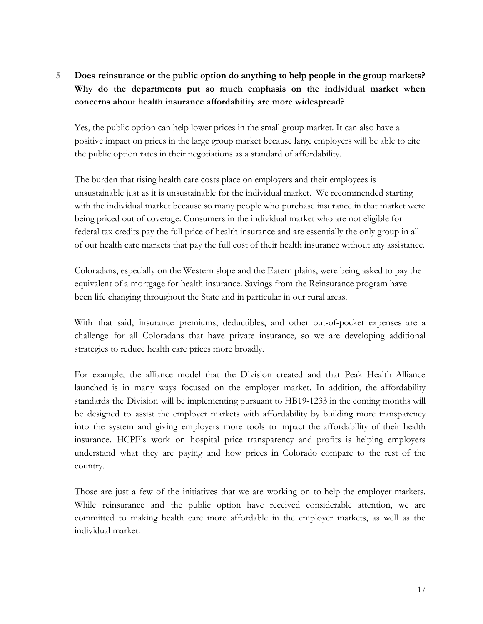# **5 Does reinsurance or the public option do anything to help people in the group markets? Why do the departments put so much emphasis on the individual market when concerns about health insurance affordability are more widespread?**

Yes, the public option can help lower prices in the small group market. It can also have a positive impact on prices in the large group market because large employers will be able to cite the public option rates in their negotiations as a standard of affordability.

The burden that rising health care costs place on employers and their employees is unsustainable just as it is unsustainable for the individual market. We recommended starting with the individual market because so many people who purchase insurance in that market were being priced out of coverage. Consumers in the individual market who are not eligible for federal tax credits pay the full price of health insurance and are essentially the only group in all of our health care markets that pay the full cost of their health insurance without any assistance.

Coloradans, especially on the Western slope and the Eatern plains, were being asked to pay the equivalent of a mortgage for health insurance. Savings from the Reinsurance program have been life changing throughout the State and in particular in our rural areas.

With that said, insurance premiums, deductibles, and other out-of-pocket expenses are a challenge for all Coloradans that have private insurance, so we are developing additional strategies to reduce health care prices more broadly.

For example, the alliance model that the Division created and that Peak Health Alliance launched is in many ways focused on the employer market. In addition, the affordability standards the Division will be implementing pursuant to HB19-1233 in the coming months will be designed to assist the employer markets with affordability by building more transparency into the system and giving employers more tools to impact the affordability of their health insurance. HCPF's work on hospital price transparency and profits is helping employers understand what they are paying and how prices in Colorado compare to the rest of the country.

Those are just a few of the initiatives that we are working on to help the employer markets. While reinsurance and the public option have received considerable attention, we are committed to making health care more affordable in the employer markets, as well as the individual market.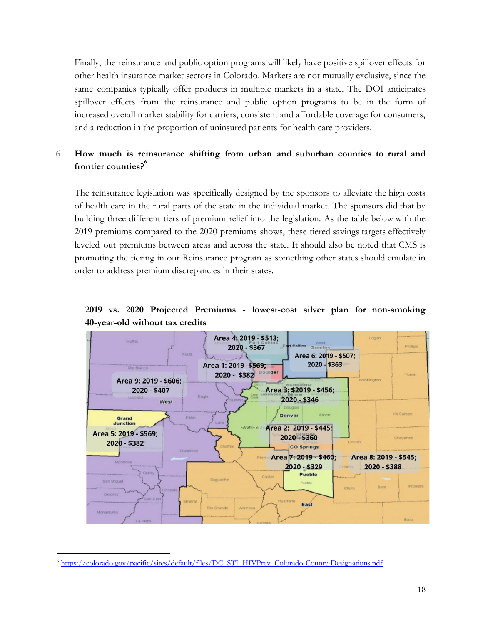Finally, the reinsurance and public option programs will likely have positive spillover effects for other health insurance market sectors in Colorado. Markets are not mutually exclusive, since the same companies typically offer products in multiple markets in a state. The DOI anticipates spillover effects from the reinsurance and public option programs to be in the form of increased overall market stability for carriers, consistent and affordable coverage for consumers, and a reduction in the proportion of uninsured patients for health care providers.

## **6 How much is reinsurance shifting from urban and suburban counties to rural and frontier counties?<sup>6</sup>**

The reinsurance legislation was specifically designed by the sponsors to alleviate the high costs of health care in the rural parts of the state in the individual market. The sponsors did that by building three different tiers of premium relief into the legislation. As the table below with the 2019 premiums compared to the 2020 premiums shows, these tiered savings targets effectively leveled out premiums between areas and across the state. It should also be noted that CMS is promoting the tiering in our Reinsurance program as something other states should emulate in order to address premium discrepancies in their states.

**2019 vs. 2020 Projected Premiums - lowest-cost silver plan for non-smoking 40-year-old without tax credits**



<sup>6</sup> [https://colorado.gov/pacific/sites/default/files/DC\\_STI\\_HIVPrev\\_Colorado-County-Designations.pdf](https://colorado.gov/pacific/sites/default/files/DC_STI_HIVPrev_Colorado-County-Designations.pdf)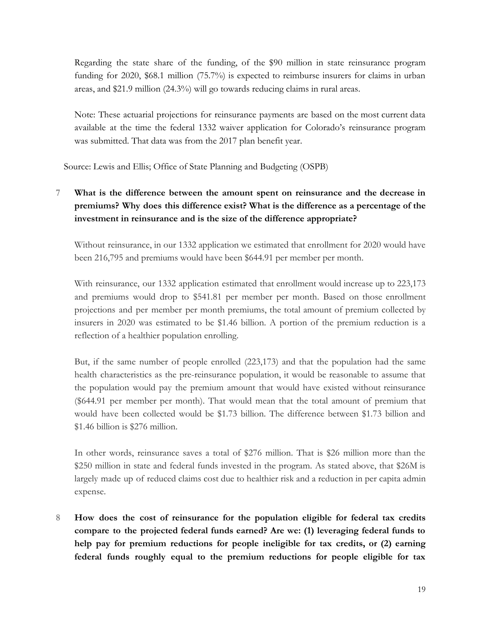Regarding the state share of the funding, of the \$90 million in state reinsurance program funding for 2020, \$68.1 million (75.7%) is expected to reimburse insurers for claims in urban areas, and \$21.9 million (24.3%) will go towards reducing claims in rural areas.

Note: These actuarial projections for reinsurance payments are based on the most current data available at the time the federal 1332 waiver application for Colorado's reinsurance program was submitted. That data was from the 2017 plan benefit year.

Source: Lewis and Ellis; Office of State Planning and Budgeting (OSPB)

**7 What is the difference between the amount spent on reinsurance and the decrease in premiums? Why does this difference exist? What is the difference as a percentage of the investment in reinsurance and is the size of the difference appropriate?**

Without reinsurance, in our 1332 application we estimated that enrollment for 2020 would have been 216,795 and premiums would have been \$644.91 per member per month.

With reinsurance, our 1332 application estimated that enrollment would increase up to 223,173 and premiums would drop to \$541.81 per member per month. Based on those enrollment projections and per member per month premiums, the total amount of premium collected by insurers in 2020 was estimated to be \$1.46 billion. A portion of the premium reduction is a reflection of a healthier population enrolling.

But, if the same number of people enrolled (223,173) and that the population had the same health characteristics as the pre-reinsurance population, it would be reasonable to assume that the population would pay the premium amount that would have existed without reinsurance (\$644.91 per member per month). That would mean that the total amount of premium that would have been collected would be \$1.73 billion. The difference between \$1.73 billion and \$1.46 billion is \$276 million.

In other words, reinsurance saves a total of \$276 million. That is \$26 million more than the \$250 million in state and federal funds invested in the program. As stated above, that \$26M is largely made up of reduced claims cost due to healthier risk and a reduction in per capita admin expense.

**8 How does the cost of reinsurance for the population eligible for federal tax credits compare to the projected federal funds earned? Are we: (1) leveraging federal funds to help pay for premium reductions for people ineligible for tax credits, or (2) earning federal funds roughly equal to the premium reductions for people eligible for tax**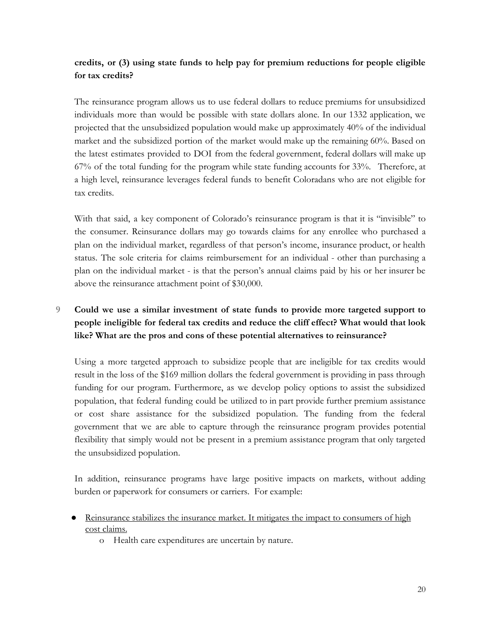# **credits, or (3) using state funds to help pay for premium reductions for people eligible for tax credits?**

The reinsurance program allows us to use federal dollars to reduce premiums for unsubsidized individuals more than would be possible with state dollars alone. In our 1332 application, we projected that the unsubsidized population would make up approximately 40% of the individual market and the subsidized portion of the market would make up the remaining 60%. Based on the latest estimates provided to DOI from the federal government, federal dollars will make up 67% of the total funding for the program while state funding accounts for 33%. Therefore, at a high level, reinsurance leverages federal funds to benefit Coloradans who are not eligible for tax credits.

With that said, a key component of Colorado's reinsurance program is that it is "invisible" to the consumer. Reinsurance dollars may go towards claims for any enrollee who purchased a plan on the individual market, regardless of that person's income, insurance product, or health status. The sole criteria for claims reimbursement for an individual - other than purchasing a plan on the individual market - is that the person's annual claims paid by his or her insurer be above the reinsurance attachment point of \$30,000.

# **9 Could we use a similar investment of state funds to provide more targeted support to people ineligible for federal tax credits and reduce the cliff effect? What would that look like? What are the pros and cons of these potential alternatives to reinsurance?**

Using a more targeted approach to subsidize people that are ineligible for tax credits would result in the loss of the \$169 million dollars the federal government is providing in pass through funding for our program. Furthermore, as we develop policy options to assist the subsidized population, that federal funding could be utilized to in part provide further premium assistance or cost share assistance for the subsidized population. The funding from the federal government that we are able to capture through the reinsurance program provides potential flexibility that simply would not be present in a premium assistance program that only targeted the unsubsidized population.

In addition, reinsurance programs have large positive impacts on markets, without adding burden or paperwork for consumers or carriers. For example:

- Reinsurance stabilizes the insurance market. It mitigates the impact to consumers of high cost claims.
	- o Health care expenditures are uncertain by nature.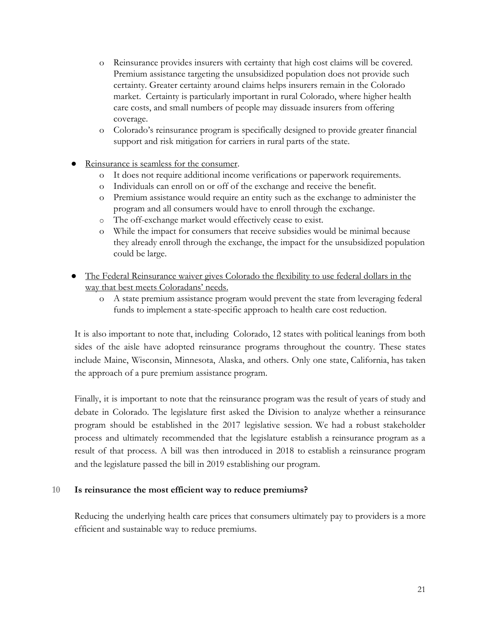- o Reinsurance provides insurers with certainty that high cost claims will be covered. Premium assistance targeting the unsubsidized population does not provide such certainty. Greater certainty around claims helps insurers remain in the Colorado market. Certainty is particularly important in rural Colorado, where higher health care costs, and small numbers of people may dissuade insurers from offering coverage.
- o Colorado's reinsurance program is specifically designed to provide greater financial support and risk mitigation for carriers in rural parts of the state.
- Reinsurance is seamless for the consumer.
	- o It does not require additional income verifications or paperwork requirements.
	- o Individuals can enroll on or off of the exchange and receive the benefit.
	- o Premium assistance would require an entity such as the exchange to administer the program and all consumers would have to enroll through the exchange.
	- o The off-exchange market would effectively cease to exist.
	- o While the impact for consumers that receive subsidies would be minimal because they already enroll through the exchange, the impact for the unsubsidized population could be large.
- The Federal Reinsurance waiver gives Colorado the flexibility to use federal dollars in the way that best meets Coloradans' needs.
	- o A state premium assistance program would prevent the state from leveraging federal funds to implement a state-specific approach to health care cost reduction.

It is also important to note that, including Colorado, 12 states with political leanings from both sides of the aisle have adopted reinsurance programs throughout the country. These states include Maine, Wisconsin, Minnesota, Alaska, and others. Only one state, California, has taken the approach of a pure premium assistance program.

Finally, it is important to note that the reinsurance program was the result of years of study and debate in Colorado. The legislature first asked the Division to analyze whether a reinsurance program should be established in the 2017 legislative session. We had a robust stakeholder process and ultimately recommended that the legislature establish a reinsurance program as a result of that process. A bill was then introduced in 2018 to establish a reinsurance program and the legislature passed the bill in 2019 establishing our program.

#### **10 Is reinsurance the most efficient way to reduce premiums?**

Reducing the underlying health care prices that consumers ultimately pay to providers is a more efficient and sustainable way to reduce premiums.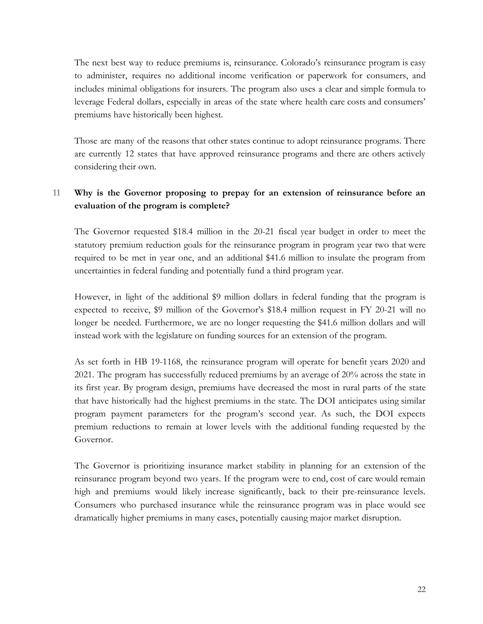The next best way to reduce premiums is, reinsurance. Colorado's reinsurance program is easy to administer, requires no additional income verification or paperwork for consumers, and includes minimal obligations for insurers. The program also uses a clear and simple formula to leverage Federal dollars, especially in areas of the state where health care costs and consumers' premiums have historically been highest.

Those are many of the reasons that other states continue to adopt reinsurance programs. There are currently 12 states that have approved reinsurance programs and there are others actively considering their own.

#### **11 Why is the Governor proposing to prepay for an extension of reinsurance before an evaluation of the program is complete?**

The Governor requested \$18.4 million in the 20-21 fiscal year budget in order to meet the statutory premium reduction goals for the reinsurance program in program year two that were required to be met in year one, and an additional \$41.6 million to insulate the program from uncertainties in federal funding and potentially fund a third program year.

However, in light of the additional \$9 million dollars in federal funding that the program is expected to receive, \$9 million of the Governor's \$18.4 million request in FY 20-21 will no longer be needed. Furthermore, we are no longer requesting the \$41.6 million dollars and will instead work with the legislature on funding sources for an extension of the program.

As set forth in HB 19-1168, the reinsurance program will operate for benefit years 2020 and 2021. The program has successfully reduced premiums by an average of 20% across the state in its first year. By program design, premiums have decreased the most in rural parts of the state that have historically had the highest premiums in the state. The DOI anticipates using similar program payment parameters for the program's second year. As such, the DOI expects premium reductions to remain at lower levels with the additional funding requested by the Governor.

The Governor is prioritizing insurance market stability in planning for an extension of the reinsurance program beyond two years. If the program were to end, cost of care would remain high and premiums would likely increase significantly, back to their pre-reinsurance levels. Consumers who purchased insurance while the reinsurance program was in place would see dramatically higher premiums in many cases, potentially causing major market disruption.